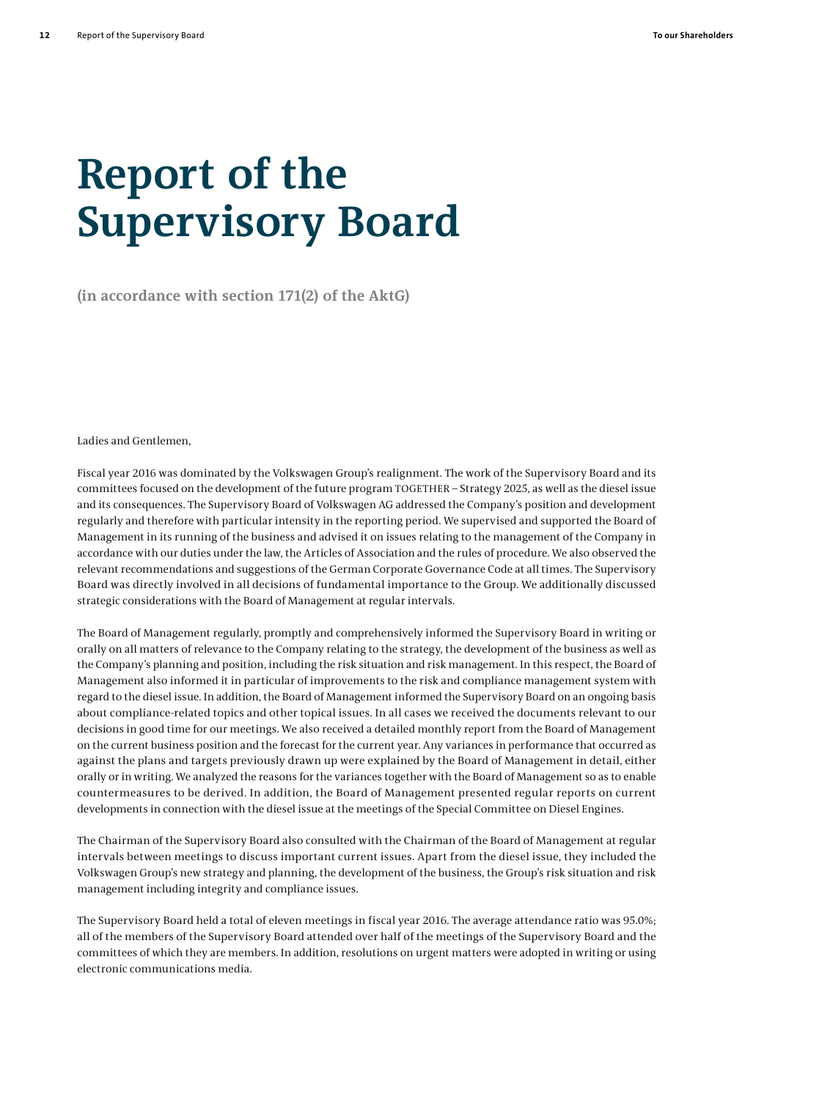# **Report of the Supervisory Board**

**(in accordance with section 171(2) of the AktG)**

Ladies and Gentlemen,

Fiscal year 2016 was dominated by the Volkswagen Group's realignment. The work of the Supervisory Board and its committees focused on the development of the future program TOGETHER – Strategy 2025, as well as the diesel issue and its consequences. The Supervisory Board of Volkswagen AG addressed the Company's position and development regularly and therefore with particular intensity in the reporting period. We supervised and supported the Board of Management in its running of the business and advised it on issues relating to the management of the Company in accordance with our duties under the law, the Articles of Association and the rules of procedure. We also observed the relevant recommendations and suggestions of the German Corporate Governance Code at all times. The Supervisory Board was directly involved in all decisions of fundamental importance to the Group. We additionally discussed strategic considerations with the Board of Management at regular intervals.

The Board of Management regularly, promptly and comprehensively informed the Supervisory Board in writing or orally on all matters of relevance to the Company relating to the strategy, the development of the business as well as the Company's planning and position, including the risk situation and risk management. In this respect, the Board of Management also informed it in particular of improvements to the risk and compliance management system with regard to the diesel issue. In addition, the Board of Management informed the Supervisory Board on an ongoing basis about compliance-related topics and other topical issues. In all cases we received the documents relevant to our decisions in good time for our meetings. We also received a detailed monthly report from the Board of Management on the current business position and the forecast for the current year. Any variances in performance that occurred as against the plans and targets previously drawn up were explained by the Board of Management in detail, either orally or in writing. We analyzed the reasons for the variances together with the Board of Management so as to enable countermeasures to be derived. In addition, the Board of Management presented regular reports on current developments in connection with the diesel issue at the meetings of the Special Committee on Diesel Engines.

The Chairman of the Supervisory Board also consulted with the Chairman of the Board of Management at regular intervals between meetings to discuss important current issues. Apart from the diesel issue, they included the Volkswagen Group's new strategy and planning, the development of the business, the Group's risk situation and risk management including integrity and compliance issues.

The Supervisory Board held a total of eleven meetings in fiscal year 2016. The average attendance ratio was 95.0%; all of the members of the Supervisory Board attended over half of the meetings of the Supervisory Board and the committees of which they are members. In addition, resolutions on urgent matters were adopted in writing or using electronic communications media.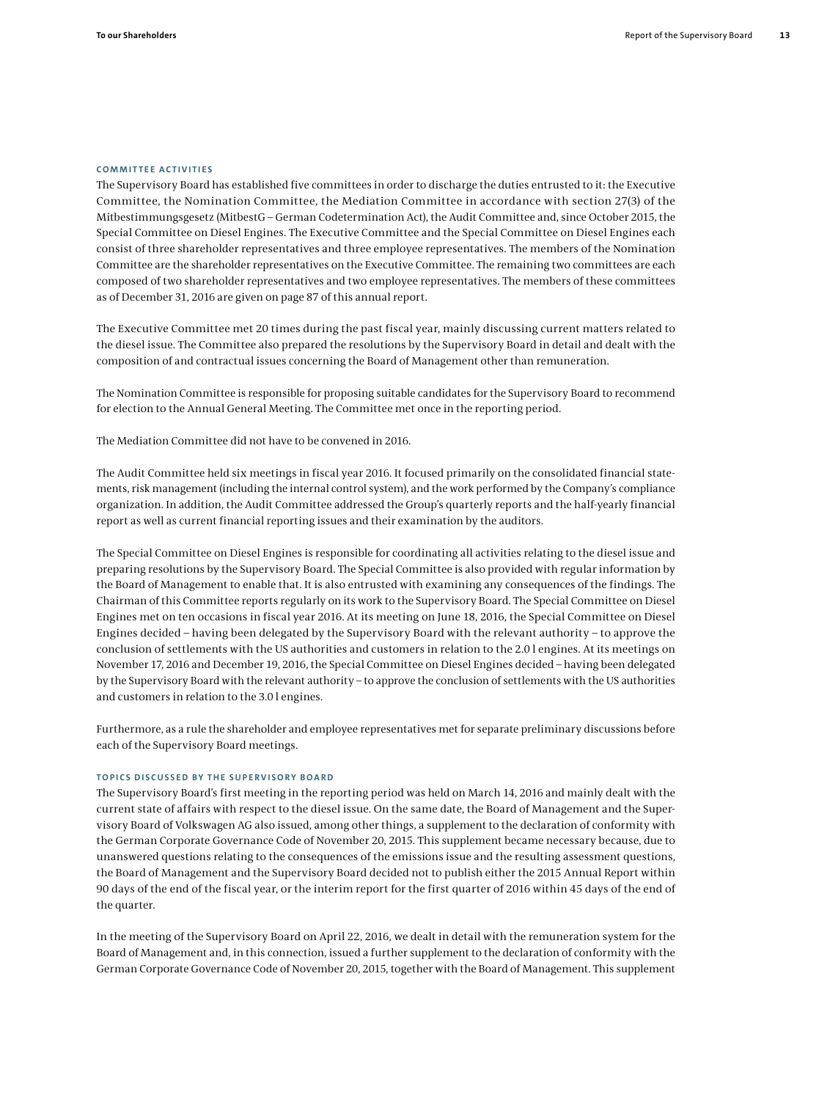#### **COMMITTEE ACTIVITIES**

The Supervisory Board has established five committees in order to discharge the duties entrusted to it: the Executive Committee, the Nomination Committee, the Mediation Committee in accordance with section 27(3) of the Mitbestimmungsgesetz (MitbestG – German Codetermination Act), the Audit Committee and, since October 2015, the Special Committee on Diesel Engines. The Executive Committee and the Special Committee on Diesel Engines each consist of three shareholder representatives and three employee representatives. The members of the Nomination Committee are the shareholder representatives on the Executive Committee. The remaining two committees are each composed of two shareholder representatives and two employee representatives. The members of these committees as of December 31, 2016 are given on page 87 of this annual report.

The Executive Committee met 20 times during the past fiscal year, mainly discussing current matters related to the diesel issue. The Committee also prepared the resolutions by the Supervisory Board in detail and dealt with the composition of and contractual issues concerning the Board of Management other than remuneration.

The Nomination Committee is responsible for proposing suitable candidates for the Supervisory Board to recommend for election to the Annual General Meeting. The Committee met once in the reporting period.

The Mediation Committee did not have to be convened in 2016.

The Audit Committee held six meetings in fiscal year 2016. It focused primarily on the consolidated financial statements, risk management (including the internal control system), and the work performed by the Company's compliance organization. In addition, the Audit Committee addressed the Group's quarterly reports and the half-yearly financial report as well as current financial reporting issues and their examination by the auditors.

The Special Committee on Diesel Engines is responsible for coordinating all activities relating to the diesel issue and preparing resolutions by the Supervisory Board. The Special Committee is also provided with regular information by the Board of Management to enable that. It is also entrusted with examining any consequences of the findings. The Chairman of this Committee reports regularly on its work to the Supervisory Board. The Special Committee on Diesel Engines met on ten occasions in fiscal year 2016. At its meeting on June 18, 2016, the Special Committee on Diesel Engines decided – having been delegated by the Supervisory Board with the relevant authority – to approve the conclusion of settlements with the US authorities and customers in relation to the 2.0 l engines. At its meetings on November 17, 2016 and December 19, 2016, the Special Committee on Diesel Engines decided – having been delegated by the Supervisory Board with the relevant authority – to approve the conclusion of settlements with the US authorities and customers in relation to the 3.0 l engines.

Furthermore, as a rule the shareholder and employee representatives met for separate preliminary discussions before each of the Supervisory Board meetings.

# **TOPICS DISCUSSED BY THE SUPERVISORY BOARD**

The Supervisory Board's first meeting in the reporting period was held on March 14, 2016 and mainly dealt with the current state of affairs with respect to the diesel issue. On the same date, the Board of Management and the Supervisory Board of Volkswagen AG also issued, among other things, a supplement to the declaration of conformity with the German Corporate Governance Code of November 20, 2015. This supplement became necessary because, due to unanswered questions relating to the consequences of the emissions issue and the resulting assessment questions, the Board of Management and the Supervisory Board decided not to publish either the 2015 Annual Report within 90 days of the end of the fiscal year, or the interim report for the first quarter of 2016 within 45 days of the end of the quarter.

In the meeting of the Supervisory Board on April 22, 2016, we dealt in detail with the remuneration system for the Board of Management and, in this connection, issued a further supplement to the declaration of conformity with the German Corporate Governance Code of November 20, 2015, together with the Board of Management. This supplement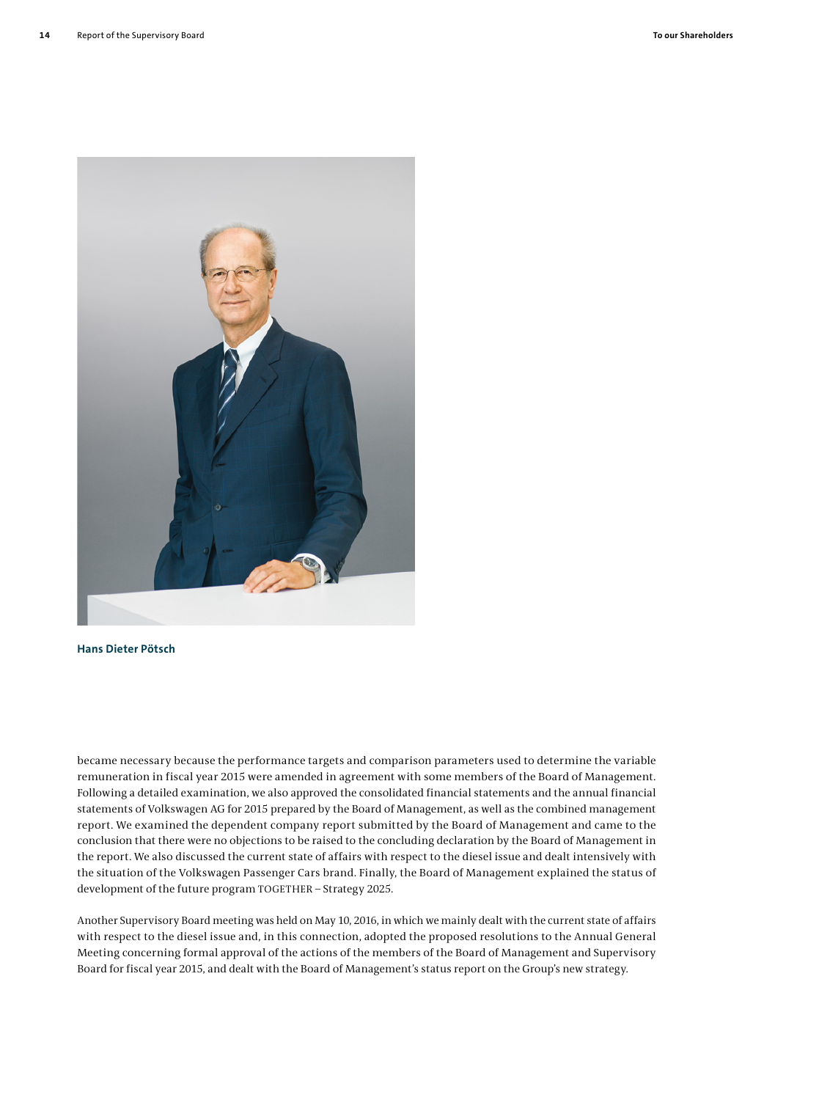

# **Hans Dieter Pötsch**

became necessary because the performance targets and comparison parameters used to determine the variable remuneration in fiscal year 2015 were amended in agreement with some members of the Board of Management. Following a detailed examination, we also approved the consolidated financial statements and the annual financial statements of Volkswagen AG for 2015 prepared by the Board of Management, as well as the combined management report. We examined the dependent company report submitted by the Board of Management and came to the conclusion that there were no objections to be raised to the concluding declaration by the Board of Management in the report. We also discussed the current state of affairs with respect to the diesel issue and dealt intensively with the situation of the Volkswagen Passenger Cars brand. Finally, the Board of Management explained the status of development of the future program TOGETHER – Strategy 2025.

Another Supervisory Board meeting was held on May 10, 2016, in which we mainly dealt with the current state of affairs with respect to the diesel issue and, in this connection, adopted the proposed resolutions to the Annual General Meeting concerning formal approval of the actions of the members of the Board of Management and Supervisory Board for fiscal year 2015, and dealt with the Board of Management's status report on the Group's new strategy.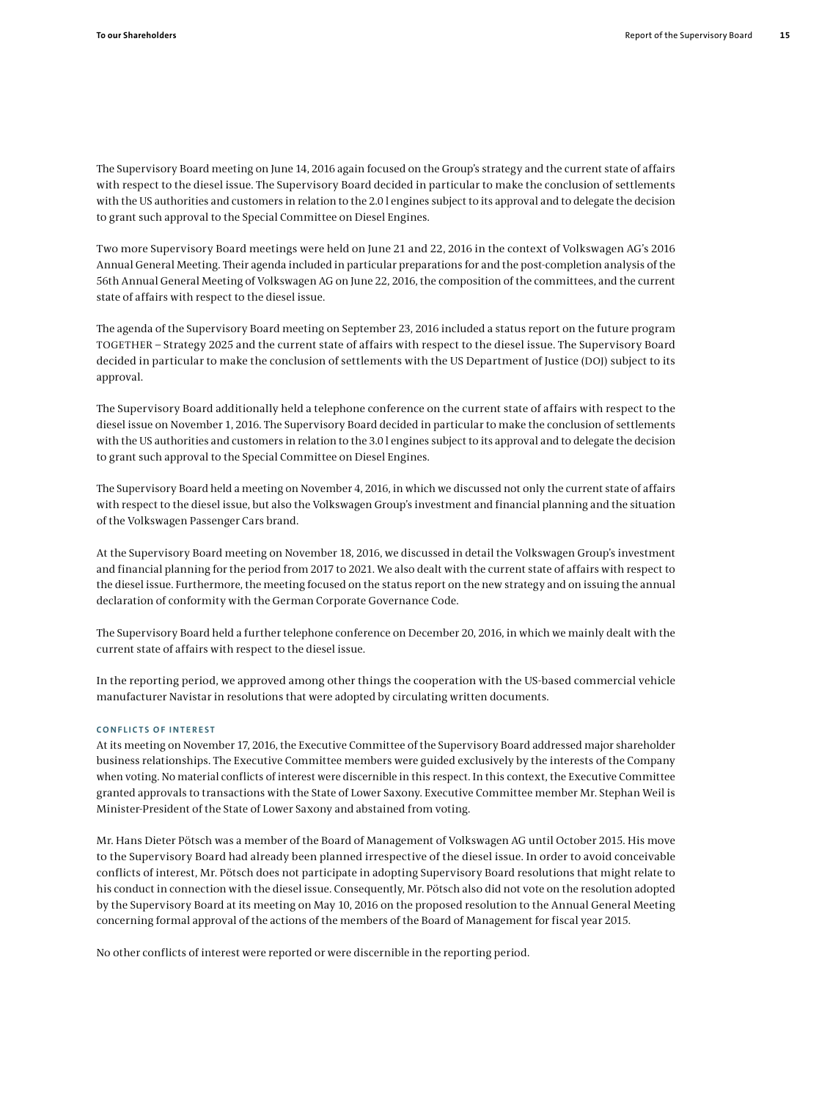The Supervisory Board meeting on June 14, 2016 again focused on the Group's strategy and the current state of affairs with respect to the diesel issue. The Supervisory Board decided in particular to make the conclusion of settlements with the US authorities and customers in relation to the 2.0 l engines subject to its approval and to delegate the decision to grant such approval to the Special Committee on Diesel Engines.

Two more Supervisory Board meetings were held on June 21 and 22, 2016 in the context of Volkswagen AG's 2016 Annual General Meeting. Their agenda included in particular preparations for and the post-completion analysis of the 56th Annual General Meeting of Volkswagen AG on June 22, 2016, the composition of the committees, and the current state of affairs with respect to the diesel issue.

The agenda of the Supervisory Board meeting on September 23, 2016 included a status report on the future program TOGETHER – Strategy 2025 and the current state of affairs with respect to the diesel issue. The Supervisory Board decided in particular to make the conclusion of settlements with the US Department of Justice (DOJ) subject to its approval.

The Supervisory Board additionally held a telephone conference on the current state of affairs with respect to the diesel issue on November 1, 2016. The Supervisory Board decided in particular to make the conclusion of settlements with the US authorities and customers in relation to the 3.0 l engines subject to its approval and to delegate the decision to grant such approval to the Special Committee on Diesel Engines.

The Supervisory Board held a meeting on November 4, 2016, in which we discussed not only the current state of affairs with respect to the diesel issue, but also the Volkswagen Group's investment and financial planning and the situation of the Volkswagen Passenger Cars brand.

At the Supervisory Board meeting on November 18, 2016, we discussed in detail the Volkswagen Group's investment and financial planning for the period from 2017 to 2021. We also dealt with the current state of affairs with respect to the diesel issue. Furthermore, the meeting focused on the status report on the new strategy and on issuing the annual declaration of conformity with the German Corporate Governance Code.

The Supervisory Board held a further telephone conference on December 20, 2016, in which we mainly dealt with the current state of affairs with respect to the diesel issue.

In the reporting period, we approved among other things the cooperation with the US-based commercial vehicle manufacturer Navistar in resolutions that were adopted by circulating written documents.

# **CONFLICTS OF INTEREST**

At its meeting on November 17, 2016, the Executive Committee of the Supervisory Board addressed major shareholder business relationships. The Executive Committee members were guided exclusively by the interests of the Company when voting. No material conflicts of interest were discernible in this respect. In this context, the Executive Committee granted approvals to transactions with the State of Lower Saxony. Executive Committee member Mr. Stephan Weil is Minister-President of the State of Lower Saxony and abstained from voting.

Mr. Hans Dieter Pötsch was a member of the Board of Management of Volkswagen AG until October 2015. His move to the Supervisory Board had already been planned irrespective of the diesel issue. In order to avoid conceivable conflicts of interest, Mr. Pötsch does not participate in adopting Supervisory Board resolutions that might relate to his conduct in connection with the diesel issue. Consequently, Mr. Pötsch also did not vote on the resolution adopted by the Supervisory Board at its meeting on May 10, 2016 on the proposed resolution to the Annual General Meeting concerning formal approval of the actions of the members of the Board of Management for fiscal year 2015.

No other conflicts of interest were reported or were discernible in the reporting period.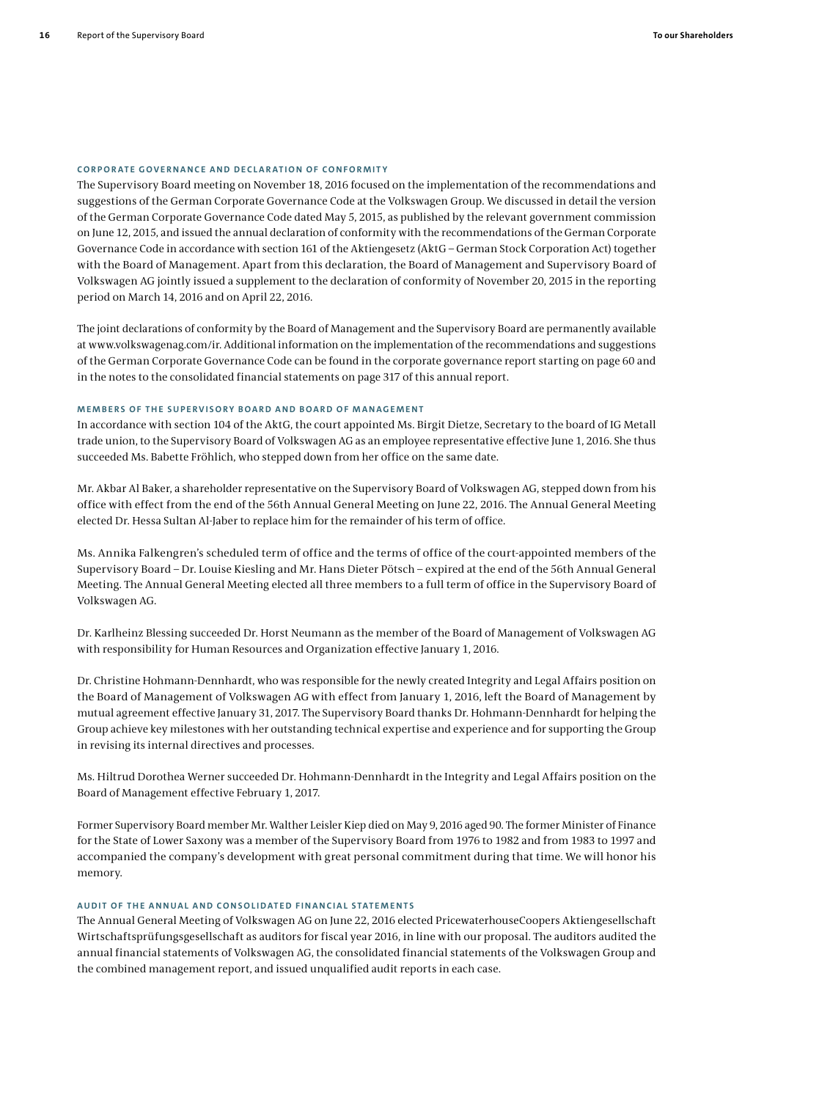### **CORPORATE GOVERNANCE AND DECLARATION OF CONFORMITY**

The Supervisory Board meeting on November 18, 2016 focused on the implementation of the recommendations and suggestions of the German Corporate Governance Code at the Volkswagen Group. We discussed in detail the version of the German Corporate Governance Code dated May 5, 2015, as published by the relevant government commission on June 12, 2015, and issued the annual declaration of conformity with the recommendations of the German Corporate Governance Code in accordance with section 161 of the Aktiengesetz (AktG – German Stock Corporation Act) together with the Board of Management. Apart from this declaration, the Board of Management and Supervisory Board of Volkswagen AG jointly issued a supplement to the declaration of conformity of November 20, 2015 in the reporting period on March 14, 2016 and on April 22, 2016.

The joint declarations of conformity by the Board of Management and the Supervisory Board are permanently available at www.volkswagenag.com/ir. Additional information on the implementation of the recommendations and suggestions of the German Corporate Governance Code can be found in the corporate governance report starting on page 60 and in the notes to the consolidated financial statements on page 317 of this annual report.

#### **MEMBERS OF THE SUPERVISORY BOARD AND BOARD OF MANAGEMENT**

In accordance with section 104 of the AktG, the court appointed Ms. Birgit Dietze, Secretary to the board of IG Metall trade union, to the Supervisory Board of Volkswagen AG as an employee representative effective June 1, 2016. She thus succeeded Ms. Babette Fröhlich, who stepped down from her office on the same date.

Mr. Akbar Al Baker, a shareholder representative on the Supervisory Board of Volkswagen AG, stepped down from his office with effect from the end of the 56th Annual General Meeting on June 22, 2016. The Annual General Meeting elected Dr. Hessa Sultan Al-Jaber to replace him for the remainder of his term of office.

Ms. Annika Falkengren's scheduled term of office and the terms of office of the court-appointed members of the Supervisory Board – Dr. Louise Kiesling and Mr. Hans Dieter Pötsch – expired at the end of the 56th Annual General Meeting. The Annual General Meeting elected all three members to a full term of office in the Supervisory Board of Volkswagen AG.

Dr. Karlheinz Blessing succeeded Dr. Horst Neumann as the member of the Board of Management of Volkswagen AG with responsibility for Human Resources and Organization effective January 1, 2016.

Dr. Christine Hohmann-Dennhardt, who was responsible for the newly created Integrity and Legal Affairs position on the Board of Management of Volkswagen AG with effect from January 1, 2016, left the Board of Management by mutual agreement effective January 31, 2017. The Supervisory Board thanks Dr. Hohmann-Dennhardt for helping the Group achieve key milestones with her outstanding technical expertise and experience and for supporting the Group in revising its internal directives and processes.

Ms. Hiltrud Dorothea Werner succeeded Dr. Hohmann-Dennhardt in the Integrity and Legal Affairs position on the Board of Management effective February 1, 2017.

Former Supervisory Board member Mr. Walther Leisler Kiep died on May 9, 2016 aged 90. The former Minister of Finance for the State of Lower Saxony was a member of the Supervisory Board from 1976 to 1982 and from 1983 to 1997 and accompanied the company's development with great personal commitment during that time. We will honor his memory.

## **AUDIT OF THE ANNUAL AND CONSOLIDATED FINANCIAL STATEMENTS**

The Annual General Meeting of Volkswagen AG on June 22, 2016 elected PricewaterhouseCoopers Aktiengesellschaft Wirtschaftsprüfungsgesellschaft as auditors for fiscal year 2016, in line with our proposal. The auditors audited the annual financial statements of Volkswagen AG, the consolidated financial statements of the Volkswagen Group and the combined management report, and issued unqualified audit reports in each case.